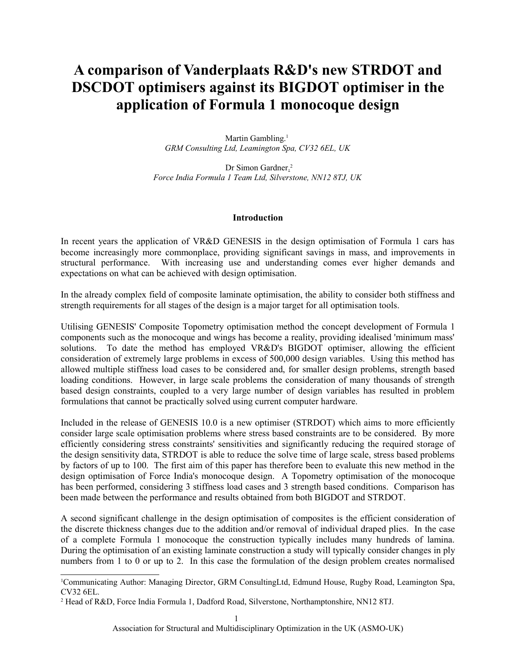# **A comparison of Vanderplaats R&D's new STRDOT and DSCDOT optimisers against its BIGDOT optimiser in the application of Formula 1 monocoque design**

Martin Gambling.<sup>[1](#page-0-0)</sup> *GRM Consulting Ltd, Leamington Spa, CV32 6EL, UK*

Dr Simon Gardner.<sup>[2](#page-0-1)</sup> *Force India Formula 1 Team Ltd, Silverstone, NN12 8TJ, UK*

## **Introduction**

In recent years the application of VR&D GENESIS in the design optimisation of Formula 1 cars has become increasingly more commonplace, providing significant savings in mass, and improvements in structural performance. With increasing use and understanding comes ever higher demands and expectations on what can be achieved with design optimisation.

In the already complex field of composite laminate optimisation, the ability to consider both stiffness and strength requirements for all stages of the design is a major target for all optimisation tools.

Utilising GENESIS' Composite Topometry optimisation method the concept development of Formula 1 components such as the monocoque and wings has become a reality, providing idealised 'minimum mass' solutions. To date the method has employed VR&D's BIGDOT optimiser, allowing the efficient consideration of extremely large problems in excess of 500,000 design variables. Using this method has allowed multiple stiffness load cases to be considered and, for smaller design problems, strength based loading conditions. However, in large scale problems the consideration of many thousands of strength based design constraints, coupled to a very large number of design variables has resulted in problem formulations that cannot be practically solved using current computer hardware.

Included in the release of GENESIS 10.0 is a new optimiser (STRDOT) which aims to more efficiently consider large scale optimisation problems where stress based constraints are to be considered. By more efficiently considering stress constraints' sensitivities and significantly reducing the required storage of the design sensitivity data, STRDOT is able to reduce the solve time of large scale, stress based problems by factors of up to 100. The first aim of this paper has therefore been to evaluate this new method in the design optimisation of Force India's monocoque design. A Topometry optimisation of the monocoque has been performed, considering 3 stiffness load cases and 3 strength based conditions. Comparison has been made between the performance and results obtained from both BIGDOT and STRDOT.

A second significant challenge in the design optimisation of composites is the efficient consideration of the discrete thickness changes due to the addition and/or removal of individual draped plies. In the case of a complete Formula 1 monocoque the construction typically includes many hundreds of lamina. During the optimisation of an existing laminate construction a study will typically consider changes in ply numbers from 1 to 0 or up to 2. In this case the formulation of the design problem creates normalised

<span id="page-0-0"></span><sup>1</sup>Communicating Author: Managing Director, GRM ConsultingLtd, Edmund House, Rugby Road, Leamington Spa, CV32 6EL.

<span id="page-0-1"></span><sup>2</sup> Head of R&D, Force India Formula 1, Dadford Road, Silverstone, Northamptonshire, NN12 8TJ.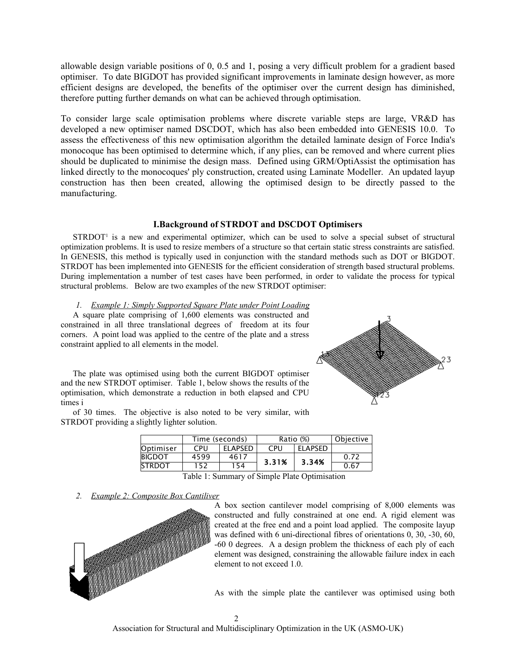allowable design variable positions of 0, 0.5 and 1, posing a very difficult problem for a gradient based optimiser. To date BIGDOT has provided significant improvements in laminate design however, as more efficient designs are developed, the benefits of the optimiser over the current design has diminished, therefore putting further demands on what can be achieved through optimisation.

To consider large scale optimisation problems where discrete variable steps are large, VR&D has developed a new optimiser named DSCDOT, which has also been embedded into GENESIS 10.0. To assess the effectiveness of this new optimisation algorithm the detailed laminate design of Force India's monocoque has been optimised to determine which, if any plies, can be removed and where current plies should be duplicated to minimise the design mass. Defined using GRM/OptiAssist the optimisation has linked directly to the monocoques' ply construction, created using Laminate Modeller. An updated layup construction has then been created, allowing the optimised design to be directly passed to the manufacturing.

## **I.Background of STRDOT and DSCDOT Optimisers**

STRDOT<sup>1</sup> is a new and experimental optimizer, which can be used to solve a special subset of structural optimization problems. It is used to resize members of a structure so that certain static stress constraints are satisfied. In GENESIS, this method is typically used in conjunction with the standard methods such as DOT or BIGDOT. STRDOT has been implemented into GENESIS for the efficient consideration of strength based structural problems. During implementation a number of test cases have been performed, in order to validate the process for typical structural problems. Below are two examples of the new STRDOT optimiser:

*1. Example 1: Simply Supported Square Plate under Point Loading*

A square plate comprising of 1,600 elements was constructed and constrained in all three translational degrees of freedom at its four corners. A point load was applied to the centre of the plate and a stress constraint applied to all elements in the model.

The plate was optimised using both the current BIGDOT optimiser and the new STRDOT optimiser. Table 1, below shows the results of the optimisation, which demonstrate a reduction in both elapsed and CPU times i

of 30 times. The objective is also noted to be very similar, with STRDOT providing a slightly lighter solution.

|               | Time (seconds) |                | Ratio (%) |                | Objective |
|---------------|----------------|----------------|-----------|----------------|-----------|
| Optimiser     | CPU            | <b>ELAPSED</b> | CPU       | <b>ELAPSED</b> |           |
| <b>BIGDOT</b> | 4599           | 4617           | 3.31%     |                | 0.72      |
| <b>STRDOT</b> | 152            | 154            |           | 3.34%          | 0.67      |

Table 1: Summary of Simple Plate Optimisation

*2. Example 2: Composite Box Cantiliver*



A box section cantilever model comprising of 8,000 elements was constructed and fully constrained at one end. A rigid element was created at the free end and a point load applied. The composite layup was defined with 6 uni-directional fibres of orientations 0, 30, -30, 60, -60 0 degrees. A a design problem the thickness of each ply of each element was designed, constraining the allowable failure index in each element to not exceed 1.0.

As with the simple plate the cantilever was optimised using both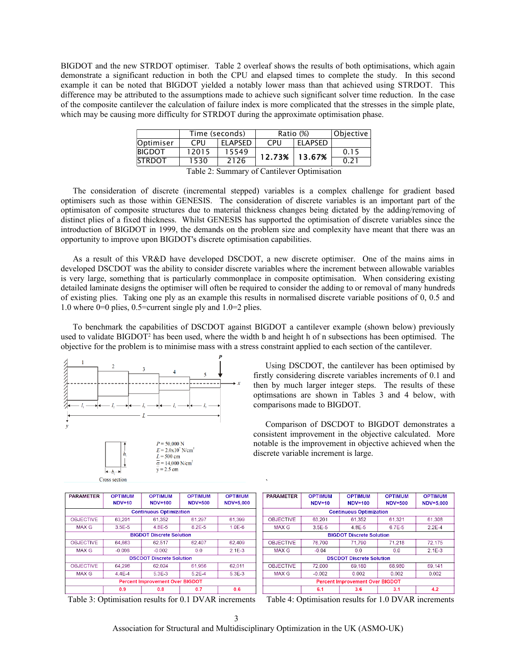BIGDOT and the new STRDOT optimiser. Table 2 overleaf shows the results of both optimisations, which again demonstrate a significant reduction in both the CPU and elapsed times to complete the study. In this second example it can be noted that BIGDOT yielded a notably lower mass than that achieved using STRDOT. This difference may be attributed to the assumptions made to achieve such significant solver time reduction. In the case of the composite cantilever the calculation of failure index is more complicated that the stresses in the simple plate, which may be causing more difficulty for STRDOT during the approximate optimisation phase.

| Time (seconds) |                | Ratio (%) |                | Objective   |
|----------------|----------------|-----------|----------------|-------------|
| CPU            | <b>ELAPSED</b> | CPU       | <b>ELAPSED</b> |             |
| 12015          | 15549          |           |                | 0.15        |
| 1530           | 2126           |           |                | 0.21        |
|                |                | __ _ _ _  | 12.73%         | 13.67%<br>. |

Table 2: Summary of Cantilever Optimisation

The consideration of discrete (incremental stepped) variables is a complex challenge for gradient based optimisers such as those within GENESIS. The consideration of discrete variables is an important part of the optimisaton of composite structures due to material thickness changes being dictated by the adding/removing of distinct plies of a fixed thickness. Whilst GENESIS has supported the optimisation of discrete variables since the introduction of BIGDOT in 1999, the demands on the problem size and complexity have meant that there was an opportunity to improve upon BIGDOT's discrete optimisation capabilities.

As a result of this VR&D have developed DSCDOT, a new discrete optimiser. One of the mains aims in developed DSCDOT was the ability to consider discrete variables where the increment between allowable variables is very large, something that is particularly commonplace in composite optimisation. When considering existing detailed laminate designs the optimiser will often be required to consider the adding to or removal of many hundreds of existing plies. Taking one ply as an example this results in normalised discrete variable positions of 0, 0.5 and 1.0 where 0=0 plies, 0.5=current single ply and 1.0=2 plies.

To benchmark the capabilities of DSCDOT against BIGDOT a cantilever example (shown below) previously used to validate BIGDOT<sup>2</sup> has been used, where the width b and height h of n subsections has been optimised. The objective for the problem is to minimise mass with a stress constraint applied to each section of the cantilever.





Cross section

Using DSCDOT, the cantilever has been optimised by firstly considering discrete variables increments of 0.1 and then by much larger integer steps. The results of these optimsations are shown in Tables 3 and 4 below, with comparisons made to BIGDOT.

Comparison of DSCDOT to BIGDOT demonstrates a consistent improvement in the objective calculated. More notable is the improvement in objective achieved when the discrete variable increment is large.

| <b>PARAMETER</b>                | <b>OPTIMUM</b>                         | <b>OPTIMUM</b>                 | <b>OPTIMUM</b> | <b>OPTIMUM</b> |  |
|---------------------------------|----------------------------------------|--------------------------------|----------------|----------------|--|
|                                 | <b>NDV=10</b>                          | <b>NDV=100</b>                 | <b>NDV=500</b> | NDV=5,000      |  |
|                                 |                                        | <b>Continuous Optimization</b> |                |                |  |
| <b>OBJECTIVE</b>                | 63,201                                 | 61,352                         | 61,297         | 61,399         |  |
| MAX G                           | $3.5F-5$                               | 4 8F-5                         | 8.2F-5         | $1.0E-6$       |  |
| <b>BIGDOT Discrete Solution</b> |                                        |                                |                |                |  |
| <b>OBJECTIVE</b>                | 64.863                                 | 62.517                         | 62,407         | 62,409         |  |
| MAX G                           | $-0.008$                               | $-0.002$                       | 0.0            | $2.1E-3$       |  |
| <b>DSCDOT Discrete Solution</b> |                                        |                                |                |                |  |
| <b>OBJECTIVE</b>                | 64.298                                 | 62.024                         | 61,956         | 62.011         |  |
| MAX G                           | 44F-4                                  | 5.3F-3                         | 5.2F-4         | 5.3F-3         |  |
|                                 | <b>Percent Improvement Over BIGDOT</b> |                                |                |                |  |
|                                 | 0.9                                    | 0.8                            | 0.7            | 0.6            |  |

Table 3: Optimisation results for 0.1 DVAR increments Table 4: Optimisation results for 1.0 DVAR increments

| <b>PARAMETER</b>                       | <b>OPTIMUM</b><br>$NDV=10$ | <b>OPTIMUM</b><br><b>NDV=100</b> | <b>OPTIMUM</b><br><b>NDV=500</b> | <b>OPTIMUM</b><br>NDV=5.000 |
|----------------------------------------|----------------------------|----------------------------------|----------------------------------|-----------------------------|
|                                        |                            | <b>Continuous Optimization</b>   |                                  |                             |
| <b>OBJECTIVE</b>                       | 63.201                     | 61.352                           | 61.321                           | 61,308                      |
| MAX G                                  | $3.5E - 5$                 | 4.8E-5                           | 6.7E-5                           | $2.2E-4$                    |
| <b>BIGDOT Discrete Solution</b>        |                            |                                  |                                  |                             |
| <b>OBJECTIVE</b>                       | 76,700                     | 71,790                           | 71,218                           | 72,175                      |
| MAX G                                  | $-0.04$                    | 0.0                              | 0.0                              | $2.1E-3$                    |
| <b>DSCDOT Discrete Solution</b>        |                            |                                  |                                  |                             |
| <b>OBJECTIVE</b>                       | 72,000                     | 69,180                           | 68,980                           | 69.141                      |
| MAX G                                  | $-0.002$                   | 0.002                            | 0.002                            | 0.002                       |
| <b>Percent Improvement Over BIGDOT</b> |                            |                                  |                                  |                             |
|                                        | 6.1                        | 3.6                              | 3.1                              | 4.2                         |

Association for Structural and Multidisciplinary Optimization in the UK (ASMO-UK)

`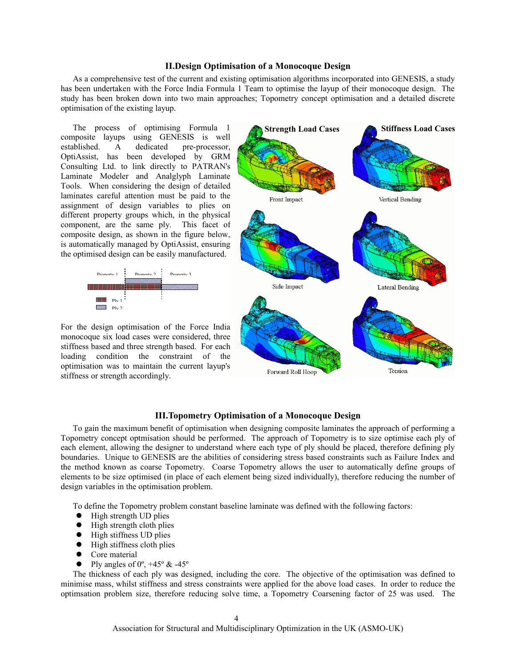### **II.Design Optimisation of a Monocoque Design**

As a comprehensive test of the current and existing optimisation algorithms incorporated into GENESIS, a study has been undertaken with the Force India Formula 1 Team to optimise the layup of their monocoque design. The study has been broken down into two main approaches; Topometry concept optimisation and a detailed discrete optimisation of the existing layup.

The process of optimising Formula 1 composite layups using GENESIS is well established. A dedicated pre-processor, OptiAssist, has been developed by GRM Consulting Ltd. to link directly to PATRAN's Laminate Modeler and Analglyph Laminate Tools. When considering the design of detailed laminates careful attention must be paid to the assignment of design variables to plies on different property groups which, in the physical component, are the same ply. This facet of composite design, as shown in the figure below, is automatically managed by OptiAssist, ensuring the optimised design can be easily manufactured.



For the design optimisation of the Force India monocoque six load cases were considered, three stiffness based and three strength based. For each loading condition the constraint of the optimisation was to maintain the current layup's stiffness or strength accordingly.



#### **III.Topometry Optimisation of a Monocoque Design**

To gain the maximum benefit of optimisation when designing composite laminates the approach of performing a Topometry concept optmisation should be performed. The approach of Topometry is to size optimise each ply of each element, allowing the designer to understand where each type of ply should be placed, therefore defining ply boundaries. Unique to GENESIS are the abilities of considering stress based constraints such as Failure Index and the method known as coarse Topometry. Coarse Topometry allows the user to automatically define groups of elements to be size optimised (in place of each element being sized individually), therefore reducing the number of design variables in the optimisation problem.

To define the Topometry problem constant baseline laminate was defined with the following factors:

- High strength UD plies
- $\bullet$  High strength cloth plies
- $\bullet$  High stiffness UD plies
- $\bullet$  High stiffness cloth plies
- Core material
- Ply angles of  $0^\circ$ ,  $+45^\circ \& 45^\circ$

The thickness of each ply was designed, including the core. The objective of the optimisation was defined to minimise mass, whilst stiffness and stress constraints were applied for the above load cases. In order to reduce the optimsation problem size, therefore reducing solve time, a Topometry Coarsening factor of 25 was used. The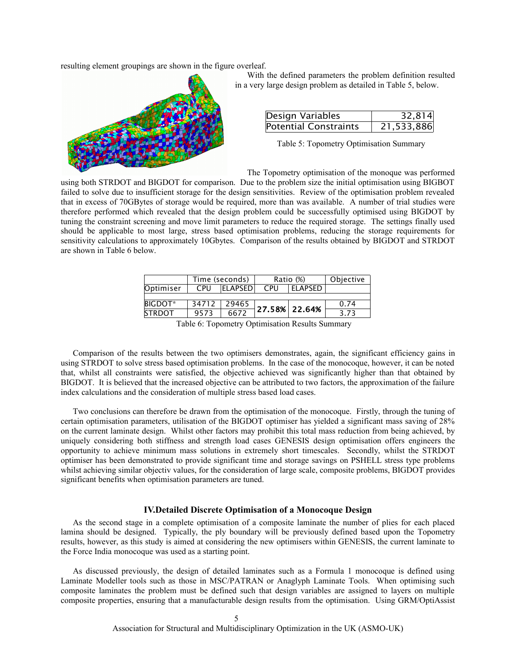resulting element groupings are shown in the figure overleaf.



With the defined parameters the problem definition resulted in a very large design problem as detailed in Table 5, below.

| Design Variables             | 32,814     |  |
|------------------------------|------------|--|
| <b>Potential Constraints</b> | 21,533,886 |  |

Table 5: Topometry Optimisation Summary

The Topometry optimisation of the monoque was performed

using both STRDOT and BIGDOT for comparison. Due to the problem size the initial optimisation using BIGBOT failed to solve due to insufficient storage for the design sensitivities. Review of the optimisation problem revealed that in excess of 70GBytes of storage would be required, more than was available. A number of trial studies were therefore performed which revealed that the design problem could be successfully optimised using BIGDOT by tuning the constraint screening and move limit parameters to reduce the required storage. The settings finally used should be applicable to most large, stress based optimisation problems, reducing the storage requirements for sensitivity calculations to approximately 10Gbytes. Comparison of the results obtained by BIGDOT and STRDOT are shown in Table 6 below.

|                | Time (seconds) |                 | Ratio (%) |                | Objective |
|----------------|----------------|-----------------|-----------|----------------|-----------|
| Optimiser      | CPU            | <b>ELAPSEDI</b> | CPU       | <b>ELAPSED</b> |           |
|                |                |                 |           |                |           |
| <b>BIGDOT*</b> | 34712          | 29465           |           |                | 0.74      |
| <b>STRDOT</b>  | 9573           | 6672            |           | 27.58% 22.64%  | 3.73      |

Table 6: Topometry Optimisation Results Summary

Comparison of the results between the two optimisers demonstrates, again, the significant efficiency gains in using STRDOT to solve stress based optimisation problems. In the case of the monocoque, however, it can be noted that, whilst all constraints were satisfied, the objective achieved was significantly higher than that obtained by BIGDOT. It is believed that the increased objective can be attributed to two factors, the approximation of the failure index calculations and the consideration of multiple stress based load cases.

Two conclusions can therefore be drawn from the optimisation of the monocoque. Firstly, through the tuning of certain optimisation parameters, utilisation of the BIGDOT optimiser has yielded a significant mass saving of 28% on the current laminate design. Whilst other factors may prohibit this total mass reduction from being achieved, by uniquely considering both stiffness and strength load cases GENESIS design optimisation offers engineers the opportunity to achieve minimum mass solutions in extremely short timescales. Secondly, whilst the STRDOT optimiser has been demonstrated to provide significant time and storage savings on PSHELL stress type problems whilst achieving similar objectiv values, for the consideration of large scale, composite problems, BIGDOT provides significant benefits when optimisation parameters are tuned.

#### **IV.Detailed Discrete Optimisation of a Monocoque Design**

As the second stage in a complete optimisation of a composite laminate the number of plies for each placed lamina should be designed. Typically, the ply boundary will be previously defined based upon the Topometry results, however, as this study is aimed at considering the new optimisers within GENESIS, the current laminate to the Force India monocoque was used as a starting point.

As discussed previously, the design of detailed laminates such as a Formula 1 monocoque is defined using Laminate Modeller tools such as those in MSC/PATRAN or Anaglyph Laminate Tools. When optimising such composite laminates the problem must be defined such that design variables are assigned to layers on multiple composite properties, ensuring that a manufacturable design results from the optimisation. Using GRM/OptiAssist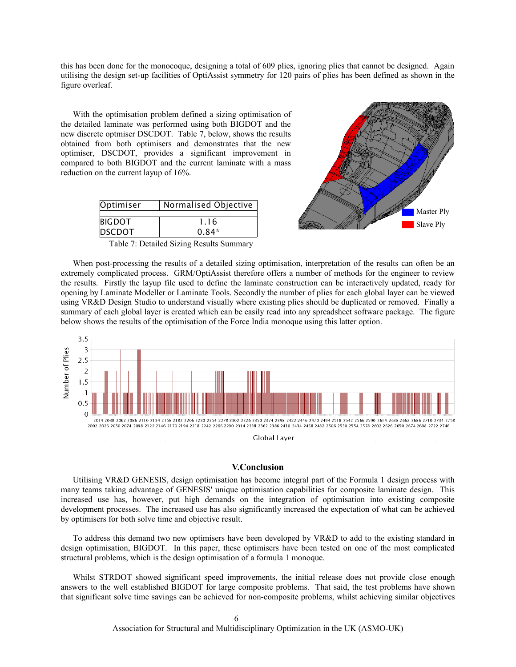this has been done for the monocoque, designing a total of 609 plies, ignoring plies that cannot be designed. Again utilising the design set-up facilities of OptiAssist symmetry for 120 pairs of plies has been defined as shown in the figure overleaf.

With the optimisation problem defined a sizing optimisation of the detailed laminate was performed using both BIGDOT and the new discrete optmiser DSCDOT. Table 7, below, shows the results obtained from both optimisers and demonstrates that the new optimiser, DSCDOT, provides a significant improvement in compared to both BIGDOT and the current laminate with a mass reduction on the current layup of 16%.

| Optimiser     | Normalised Objective |  |  |
|---------------|----------------------|--|--|
|               |                      |  |  |
| <b>BIGDOT</b> | 1.16                 |  |  |
| <b>DSCDOT</b> | $0.84*$              |  |  |

Table 7: Detailed Sizing Results Summary



When post-processing the results of a detailed sizing optimisation, interpretation of the results can often be an extremely complicated process. GRM/OptiAssist therefore offers a number of methods for the engineer to review the results. Firstly the layup file used to define the laminate construction can be interactively updated, ready for opening by Laminate Modeller or Laminate Tools. Secondly the number of plies for each global layer can be viewed using VR&D Design Studio to understand visually where existing plies should be duplicated or removed. Finally a summary of each global layer is created which can be easily read into any spreadsheet software package. The figure below shows the results of the optimisation of the Force India monoque using this latter option.



#### **V.Conclusion**

Utilising VR&D GENESIS, design optimisation has become integral part of the Formula 1 design process with many teams taking advantage of GENESIS' unique optimisation capabilities for composite laminate design. This increased use has, however, put high demands on the integration of optimisation into existing composite development processes. The increased use has also significantly increased the expectation of what can be achieved by optimisers for both solve time and objective result.

To address this demand two new optimisers have been developed by VR&D to add to the existing standard in design optimisation, BIGDOT. In this paper, these optimisers have been tested on one of the most complicated structural problems, which is the design optimisation of a formula 1 monoque.

Whilst STRDOT showed significant speed improvements, the initial release does not provide close enough answers to the well established BIGDOT for large composite problems. That said, the test problems have shown that significant solve time savings can be achieved for non-composite problems, whilst achieving similar objectives